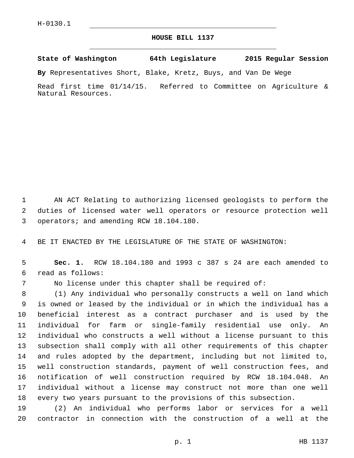## **HOUSE BILL 1137**

**State of Washington 64th Legislature 2015 Regular Session**

**By** Representatives Short, Blake, Kretz, Buys, and Van De Wege

Read first time 01/14/15. Referred to Committee on Agriculture & Natural Resources.

 AN ACT Relating to authorizing licensed geologists to perform the duties of licensed water well operators or resource protection well 3 operators; and amending RCW 18.104.180.

BE IT ENACTED BY THE LEGISLATURE OF THE STATE OF WASHINGTON:

 **Sec. 1.** RCW 18.104.180 and 1993 c 387 s 24 are each amended to read as follows:6

No license under this chapter shall be required of:

 (1) Any individual who personally constructs a well on land which is owned or leased by the individual or in which the individual has a beneficial interest as a contract purchaser and is used by the individual for farm or single-family residential use only. An individual who constructs a well without a license pursuant to this subsection shall comply with all other requirements of this chapter and rules adopted by the department, including but not limited to, well construction standards, payment of well construction fees, and notification of well construction required by RCW 18.104.048. An individual without a license may construct not more than one well every two years pursuant to the provisions of this subsection.

 (2) An individual who performs labor or services for a well contractor in connection with the construction of a well at the